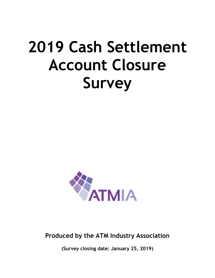# **2019 Cash Settlement Account Closure Survey**



## **Produced by the ATM Industry Association**

**(Survey closing date: January 25, 2019)**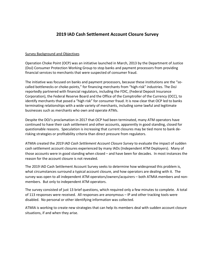### **2019 IAD Cash Settlement Account Closure Survey**

#### Survey Background and Objectives

Operation Choke Point (OCP) was an initiative launched in March, 2013 by the Department of Justice (DoJ) Consumer Protection Working Group to stop banks and payment processors from providing financial services to merchants that were suspected of consumer fraud.

The initiative was focused on banks and payment processors, because these institutions are the "socalled bottlenecks or choke-points," for financing merchants from "high-risk" industries. The DoJ reportedly partnered with financial regulators, including the FDIC, (Federal Deposit Insurance Corporation), the Federal Reserve Board and the Office of the Comptroller of the Currency (OCC), to identify merchants that posed a "high risk" for consumer fraud. It is now clear that OCP led to banks terminating relationships with a wide variety of merchants, including some lawful and legitimate businesses such as merchants who own and operate ATMs.

Despite the DOJ's proclamation in 2017 that OCP had been terminated, many ATM operators have continued to have their cash settlement and other accounts, apparently in good standing, closed for questionable reasons. Speculation is increasing that current closures may be tied more to bank derisking strategies or profitability criteria than direct pressure from regulators.

ATMIA created the *2019 IAD Cash Settlement Account Closure Survey* to evaluate the impact of sudden cash settlement account closures experienced by many IADs (Independent ATM Deployers). Many of those accounts were in good standing when closed – and have been for decades. In most instances the reason for the account closure is not revealed.

The 2019 IAD Cash Settlement Account Survey seeks to determine how widespread this problem is, what circumstances surround a typical account closure, and how operators are dealing with it. The survey was open to all independent ATM operators/owners/acquirers – both ATMIA members and nonmembers. But only to independent ATM operators.

The survey consisted of just 13 brief questions, which required only a few minutes to complete. A total of 113 responses were received. All responses are anonymous – IP and other tracking tools were disabled. No personal or other identifying information was collected.

ATMIA is working to create new strategies that can help its members deal with sudden account closure situations, if and when they arise.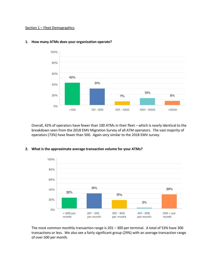#### Section 1 – Fleet Demographics



#### **1. How many ATMs does your organization operate?**

Overall, 42% of operators have fewer than 100 ATMs in their fleet – which is nearly identical to the breakdown seen from the 2018 EMV Migration Survey of all ATM operators. The vast majority of operators (73%) have fewer than 500. Again very similar to the 2018 EMV survey.



#### **2. What is the approximate average transaction volume for your ATMs?**

The most common monthly transaction range is 201 – 300 per terminal. A total of 53% have 300 transactions or less. We also see a fairly significant group (29%) with an average transaction range of over 500 per month.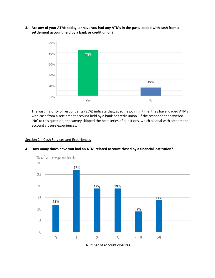**3. Are any of your ATMs today, or have you had any ATMs in the past, loaded with cash from a settlement account held by a bank or credit union?**



The vast majority of respondents (85%) indicate that, at some point in time, they have loaded ATMs with cash from a settlement account held by a bank or credit union. If the respondent answered 'No' to this question, the survey skipped the next series of questions, which all deal with settlement account closure experiences.

#### Section 2 – Cash Services and Experiences



#### **4. How many times have you had an ATM-related account closed by a financial institution?**

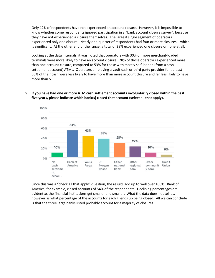Only 12% of respondents have not experienced an account closure. However, it is impossible to know whether some respondents ignored participation in a "bank account closure survey", because they have not experienced a closure themselves. The largest single segment of operators experienced only one closure. Nearly one-quarter of respondents had four or more closures – which is significant. At the other end of the range, a total of 39% experienced one closure or none at all.

Looking at the data internals, it was noted that operators with 30% or more merchant-loaded terminals were more likely to have an account closure. 78% of those operators experienced more than one account closure, compared to 53% for those with mostly self-loaded (from a cash settlement account) ATMs. Operators employing a vault cash or third party provider for at least 50% of their cash were less likely to have more than more account closure and far less likely to have more than 5.



**5. If you have had one or more ATM cash settlement accounts involuntarily closed within the past five years, please indicate which bank(s) closed that account (select all that apply).**

Since this was a "check all that apply" question, the results add up to well over 100%. Bank of America, for example, closed accounts of 54% of the respondents. Declining percentages are evident as the financial institutions get smaller and smaller. What the data does not tell us, however, is what percentage of the accounts for each FI ends up being closed. All we can conclude is that the three large banks listed probably account for a majority of closures.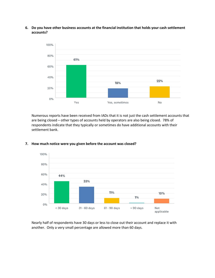**6. Do you have other business accounts at the financial institution that holds your cash settlement accounts?**



Numerous reports have been received from IADs that it is not just the cash settlement accounts that are being closed – other types of accounts held by operators are also being closed. 78% of respondents indicate that they typically or sometimes do have additional accounts with their settlement bank.



#### **7. How much notice were you given before the account was closed?**

Nearly half of respondents have 30 days or less to close out their account and replace it with another. Only a very small percentage are allowed more than 60 days.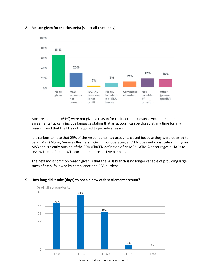

#### 8. **Reason given for the closure(s) (select all that apply).**

Most respondents (64%) were not given a reason for their account closure. Account holder agreements typically include language stating that an account can be closed at any time for any reason – and that the FI is not required to provide a reason.

It is curious to note that 29% of the respondents had accounts closed because they were deemed to be an MSB (Money Services Business). Owning or operating an ATM does not constitute running an MSB and is clearly outside of the FDIC/FinCEN definition of an MSB. ATMIA encourages all IADs to review that definition with current and prospective bankers.

The next most common reason given is that the IADs branch is no longer capable of providing large sums of cash, followed by compliance and BSA burdens.



#### **9. How long did it take (days) to open a new cash settlement account?**

Number of days to open new account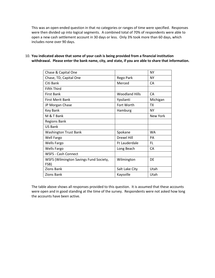This was an open-ended question in that no categories or ranges of time were specified. Responses were then divided up into logical segments. A combined total of 70% of respondents were able to open a new cash settlement account in 30 days or less. Only 3% took more than 60 days, which includes none over 90 days.

| Chase & Capital One                    |                       | <b>NY</b> |
|----------------------------------------|-----------------------|-----------|
| Chase, TD, Capital One                 | Rego Park             | NY        |
| Citi Bank                              | Merced                | CA        |
| <b>Fifth Third</b>                     |                       |           |
| <b>First Bank</b>                      | <b>Woodland Hills</b> | CA        |
| <b>First Merit Bank</b>                | Ypsilanti             | Michigan  |
| JP Morgan Chase                        | Fort Worth            | <b>TX</b> |
| Key Bank                               | Hamburg               | <b>NY</b> |
| M & T Bank                             |                       | New York  |
| <b>Regions Bank</b>                    |                       |           |
| US Bank                                |                       |           |
| <b>Washington Trust Bank</b>           | Spokane               | <b>WA</b> |
| <b>Well Fargo</b>                      | Drexel Hill           | PA        |
| <b>Wells Fargo</b>                     | <b>Ft Lauderdale</b>  | FL.       |
| <b>Wells Fargo</b>                     | Long Beach            | <b>CA</b> |
| <b>WSFS - Cash Connect</b>             |                       |           |
| WSFS (Wilmington Savings Fund Society, | Wilmington            | DE        |
| FSB)                                   |                       |           |
| Zions Bank                             | Salt Lake City        | Utah      |
| Zions Bank                             | Kaysville             | Utah      |

10. **You indicated above that some of your cash is being provided from a financial institution withdrawal. Please enter the bank name, city, and state, if you are able to share that information.**

The table above shows all responses provided to this question. It is assumed that these accounts were open and in good standing at the time of the survey. Respondents were not asked how long the accounts have been active.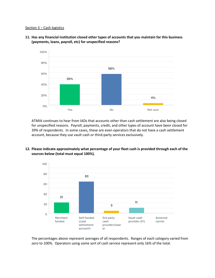#### Section 3 – Cash logistics



**11. Has any financial institution closed other types of accounts that you maintain for this business (payments, loans, payroll, etc) for unspecified reasons?**

ATMIA continues to hear from IADs that accounts other than cash settlement are also being closed for unspecified reasons. Payroll, payments, credit, and other types of account have been closed for 39% of respondents. In some cases, these are even operators that do not have a cash settlement account, because they use vault cash or third-party services exclusively.



**12. Please indicate approximately what percentage of your fleet cash is provided through each of the sources below (total must equal 100%).**

The percentages above represent averages of all respondents. Ranges of each category varied from zero to 100%. Operators using some sort of cash service represent only 16% of the total.